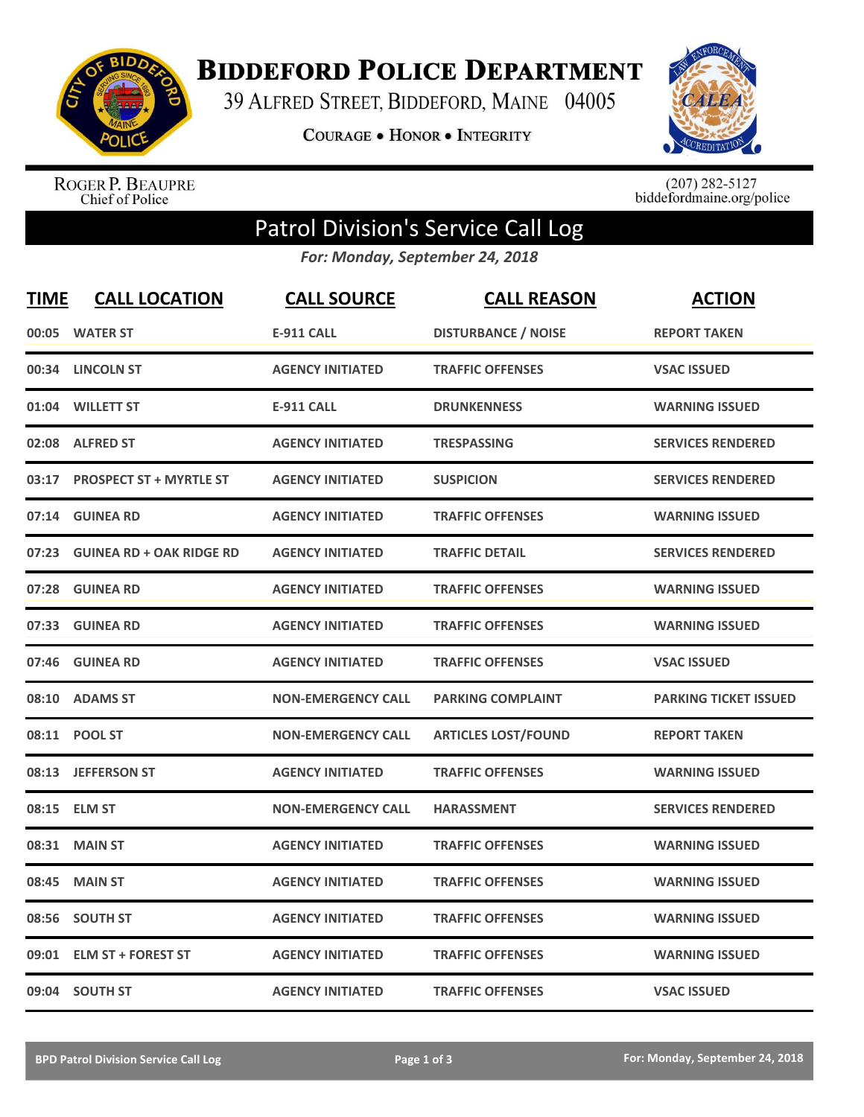

**BIDDEFORD POLICE DEPARTMENT** 

39 ALFRED STREET, BIDDEFORD, MAINE 04005

**COURAGE . HONOR . INTEGRITY** 



ROGER P. BEAUPRE<br>Chief of Police

 $(207)$  282-5127<br>biddefordmaine.org/police

## Patrol Division's Service Call Log

*For: Monday, September 24, 2018*

| <b>TIME</b> | <b>CALL LOCATION</b>            | <b>CALL SOURCE</b>        | <b>CALL REASON</b>         | <b>ACTION</b>                |
|-------------|---------------------------------|---------------------------|----------------------------|------------------------------|
| 00:05       | <b>WATER ST</b>                 | <b>E-911 CALL</b>         | <b>DISTURBANCE / NOISE</b> | <b>REPORT TAKEN</b>          |
| 00:34       | <b>LINCOLN ST</b>               | <b>AGENCY INITIATED</b>   | <b>TRAFFIC OFFENSES</b>    | <b>VSAC ISSUED</b>           |
| 01:04       | <b>WILLETT ST</b>               | <b>E-911 CALL</b>         | <b>DRUNKENNESS</b>         | <b>WARNING ISSUED</b>        |
|             | 02:08 ALFRED ST                 | <b>AGENCY INITIATED</b>   | <b>TRESPASSING</b>         | <b>SERVICES RENDERED</b>     |
| 03:17       | <b>PROSPECT ST + MYRTLE ST</b>  | <b>AGENCY INITIATED</b>   | <b>SUSPICION</b>           | <b>SERVICES RENDERED</b>     |
| 07:14       | <b>GUINEA RD</b>                | <b>AGENCY INITIATED</b>   | <b>TRAFFIC OFFENSES</b>    | <b>WARNING ISSUED</b>        |
| 07:23       | <b>GUINEA RD + OAK RIDGE RD</b> | <b>AGENCY INITIATED</b>   | <b>TRAFFIC DETAIL</b>      | <b>SERVICES RENDERED</b>     |
| 07:28       | <b>GUINEA RD</b>                | <b>AGENCY INITIATED</b>   | <b>TRAFFIC OFFENSES</b>    | <b>WARNING ISSUED</b>        |
| 07:33       | <b>GUINEA RD</b>                | <b>AGENCY INITIATED</b>   | <b>TRAFFIC OFFENSES</b>    | <b>WARNING ISSUED</b>        |
|             | 07:46 GUINEA RD                 | <b>AGENCY INITIATED</b>   | <b>TRAFFIC OFFENSES</b>    | <b>VSAC ISSUED</b>           |
|             | 08:10 ADAMS ST                  | <b>NON-EMERGENCY CALL</b> | <b>PARKING COMPLAINT</b>   | <b>PARKING TICKET ISSUED</b> |
|             | 08:11 POOL ST                   | <b>NON-EMERGENCY CALL</b> | <b>ARTICLES LOST/FOUND</b> | <b>REPORT TAKEN</b>          |
| 08:13       | <b>JEFFERSON ST</b>             | <b>AGENCY INITIATED</b>   | <b>TRAFFIC OFFENSES</b>    | <b>WARNING ISSUED</b>        |
| 08:15       | <b>ELM ST</b>                   | <b>NON-EMERGENCY CALL</b> | <b>HARASSMENT</b>          | <b>SERVICES RENDERED</b>     |
| 08:31       | <b>MAIN ST</b>                  | <b>AGENCY INITIATED</b>   | <b>TRAFFIC OFFENSES</b>    | <b>WARNING ISSUED</b>        |
| 08:45       | <b>MAIN ST</b>                  | <b>AGENCY INITIATED</b>   | <b>TRAFFIC OFFENSES</b>    | <b>WARNING ISSUED</b>        |
| 08:56       | <b>SOUTH ST</b>                 | <b>AGENCY INITIATED</b>   | <b>TRAFFIC OFFENSES</b>    | <b>WARNING ISSUED</b>        |
| 09:01       | <b>ELM ST + FOREST ST</b>       | <b>AGENCY INITIATED</b>   | <b>TRAFFIC OFFENSES</b>    | <b>WARNING ISSUED</b>        |
|             | 09:04 SOUTH ST                  | <b>AGENCY INITIATED</b>   | <b>TRAFFIC OFFENSES</b>    | <b>VSAC ISSUED</b>           |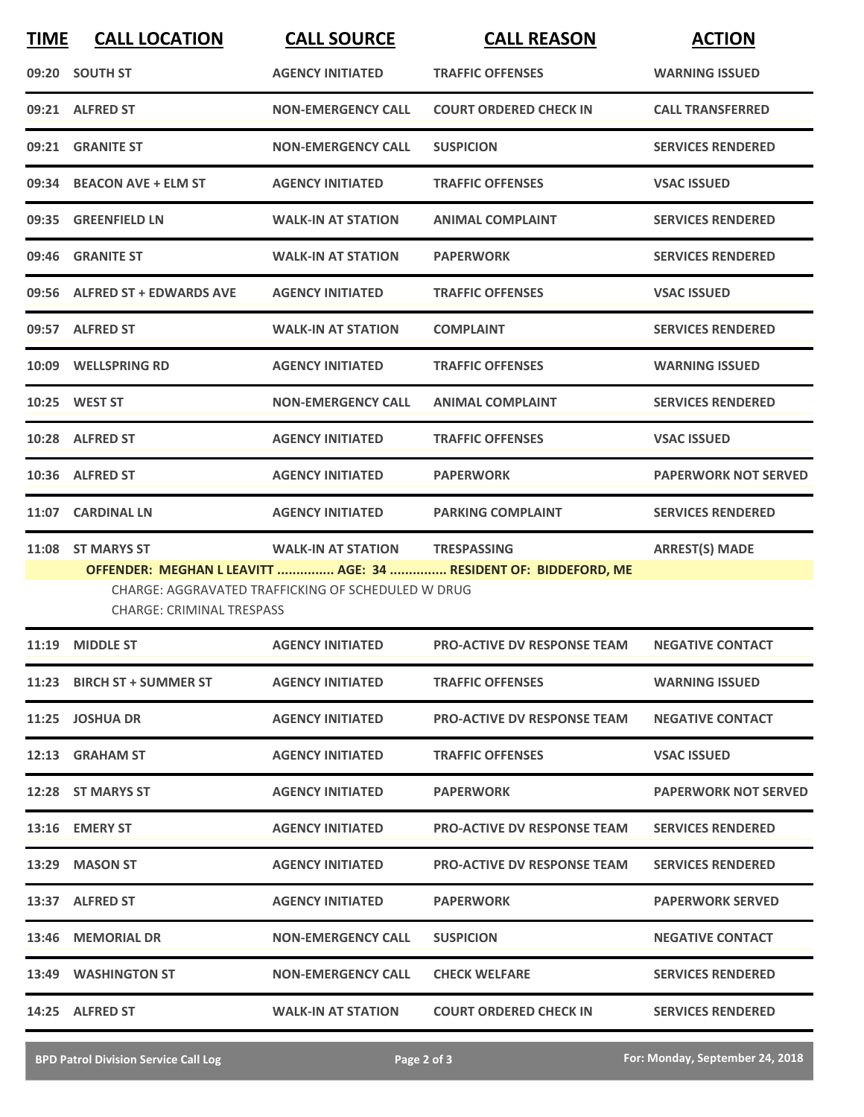| <b>TIME</b> | <b>CALL LOCATION</b>             | <b>CALL SOURCE</b>                                 | <b>CALL REASON</b>                                              | <b>ACTION</b>               |
|-------------|----------------------------------|----------------------------------------------------|-----------------------------------------------------------------|-----------------------------|
|             | 09:20 SOUTH ST                   | <b>AGENCY INITIATED</b>                            | <b>TRAFFIC OFFENSES</b>                                         | <b>WARNING ISSUED</b>       |
|             | 09:21 ALFRED ST                  | <b>NON-EMERGENCY CALL</b>                          | <b>COURT ORDERED CHECK IN</b>                                   | <b>CALL TRANSFERRED</b>     |
| 09:21       | <b>GRANITE ST</b>                | <b>NON-EMERGENCY CALL</b>                          | <b>SUSPICION</b>                                                | <b>SERVICES RENDERED</b>    |
|             | 09:34 BEACON AVE + ELM ST        | <b>AGENCY INITIATED</b>                            | <b>TRAFFIC OFFENSES</b>                                         | <b>VSAC ISSUED</b>          |
|             | 09:35 GREENFIELD LN              | <b>WALK-IN AT STATION</b>                          | <b>ANIMAL COMPLAINT</b>                                         | <b>SERVICES RENDERED</b>    |
|             | 09:46 GRANITE ST                 | <b>WALK-IN AT STATION</b>                          | <b>PAPERWORK</b>                                                | <b>SERVICES RENDERED</b>    |
|             | 09:56 ALFRED ST + EDWARDS AVE    | <b>AGENCY INITIATED</b>                            | <b>TRAFFIC OFFENSES</b>                                         | <b>VSAC ISSUED</b>          |
|             | 09:57 ALFRED ST                  | <b>WALK-IN AT STATION</b>                          | <b>COMPLAINT</b>                                                | <b>SERVICES RENDERED</b>    |
|             | 10:09 WELLSPRING RD              | <b>AGENCY INITIATED</b>                            | <b>TRAFFIC OFFENSES</b>                                         | <b>WARNING ISSUED</b>       |
|             | 10:25 WEST ST                    | <b>NON-EMERGENCY CALL</b>                          | <b>ANIMAL COMPLAINT</b>                                         | <b>SERVICES RENDERED</b>    |
|             | 10:28 ALFRED ST                  | <b>AGENCY INITIATED</b>                            | <b>TRAFFIC OFFENSES</b>                                         | <b>VSAC ISSUED</b>          |
|             | 10:36 ALFRED ST                  | <b>AGENCY INITIATED</b>                            | <b>PAPERWORK</b>                                                | <b>PAPERWORK NOT SERVED</b> |
| 11:07       | <b>CARDINAL LN</b>               | <b>AGENCY INITIATED</b>                            | <b>PARKING COMPLAINT</b>                                        | <b>SERVICES RENDERED</b>    |
| 11:08       | <b>ST MARYS ST</b>               | <b>WALK-IN AT STATION</b>                          | <b>TRESPASSING</b>                                              | <b>ARREST(S) MADE</b>       |
|             | <b>CHARGE: CRIMINAL TRESPASS</b> | CHARGE: AGGRAVATED TRAFFICKING OF SCHEDULED W DRUG | OFFENDER: MEGHAN L LEAVITT  AGE: 34  RESIDENT OF: BIDDEFORD, ME |                             |
| 11:19       | <b>MIDDLE ST</b>                 | <b>AGENCY INITIATED</b>                            | <b>PRO-ACTIVE DV RESPONSE TEAM</b>                              | <b>NEGATIVE CONTACT</b>     |
|             | 11:23 BIRCH ST + SUMMER ST       | <b>AGENCY INITIATED</b>                            | <b>TRAFFIC OFFENSES</b>                                         | <b>WARNING ISSUED</b>       |
|             | 11:25 JOSHUA DR                  | <b>AGENCY INITIATED</b>                            | <b>PRO-ACTIVE DV RESPONSE TEAM</b>                              | <b>NEGATIVE CONTACT</b>     |
|             | 12:13 GRAHAM ST                  | <b>AGENCY INITIATED</b>                            | <b>TRAFFIC OFFENSES</b>                                         | <b>VSAC ISSUED</b>          |
|             | 12:28 ST MARYS ST                | <b>AGENCY INITIATED</b>                            | <b>PAPERWORK</b>                                                | <b>PAPERWORK NOT SERVED</b> |
|             | 13:16 EMERY ST                   | <b>AGENCY INITIATED</b>                            | <b>PRO-ACTIVE DV RESPONSE TEAM</b>                              | <b>SERVICES RENDERED</b>    |
|             | 13:29 MASON ST                   | <b>AGENCY INITIATED</b>                            | <b>PRO-ACTIVE DV RESPONSE TEAM</b>                              | <b>SERVICES RENDERED</b>    |
|             | 13:37 ALFRED ST                  | <b>AGENCY INITIATED</b>                            | <b>PAPERWORK</b>                                                | <b>PAPERWORK SERVED</b>     |
|             | 13:46 MEMORIAL DR                | <b>NON-EMERGENCY CALL</b>                          | <b>SUSPICION</b>                                                | <b>NEGATIVE CONTACT</b>     |
|             | 13:49 WASHINGTON ST              | <b>NON-EMERGENCY CALL</b>                          | <b>CHECK WELFARE</b>                                            | <b>SERVICES RENDERED</b>    |
|             | 14:25 ALFRED ST                  | <b>WALK-IN AT STATION</b>                          | <b>COURT ORDERED CHECK IN</b>                                   | <b>SERVICES RENDERED</b>    |